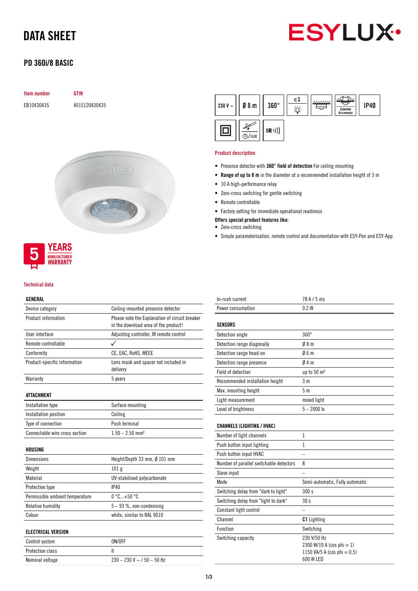# DATA SHEET



## PD 360i/8 BASIC

| <b>Item number</b> | <b>GTIN</b>   |
|--------------------|---------------|
| EB10430435         | 4015120430435 |
|                    |               |
|                    |               |
|                    |               |





### Technical data

## GENERAL

| Device category                 | Ceiling-mounted presence detector                                                      |  |  |  |
|---------------------------------|----------------------------------------------------------------------------------------|--|--|--|
| Product information             | Please note the Explanation of circuit breaker<br>in the download area of the product! |  |  |  |
| User interface                  | Adjusting controller, IR remote control                                                |  |  |  |
| Remote controllable             |                                                                                        |  |  |  |
| Conformity                      | CE, EAC, RoHS, WEEE                                                                    |  |  |  |
| Product-specific information    | Lens mask and spacer not included in<br>delivery                                       |  |  |  |
| Warranty                        | 5 years                                                                                |  |  |  |
| ATTACHMENT                      |                                                                                        |  |  |  |
| Installation type               | Surface mounting                                                                       |  |  |  |
| Installation position           | Ceiling                                                                                |  |  |  |
| Type of connection              | Push terminal                                                                          |  |  |  |
| Connectable wire cross section  | $1.50 - 2.50$ mm <sup>2</sup>                                                          |  |  |  |
| HOUSING                         |                                                                                        |  |  |  |
| Dimensions                      | Height/Depth 33 mm, Ø 101 mm                                                           |  |  |  |
| Weight                          | 101 <sub>g</sub>                                                                       |  |  |  |
| Material                        | UV-stabilised polycarbonate                                                            |  |  |  |
| Protection type                 | IP40                                                                                   |  |  |  |
| Permissible ambient temperature | $0 °C+50 °C$                                                                           |  |  |  |
| Relative humidity               | $5 - 93$ %, non-condensing                                                             |  |  |  |
| Colour                          | white, similar to RAL 9010                                                             |  |  |  |
| <b>ELECTRICAL VERSION</b>       |                                                                                        |  |  |  |
| Control system                  | ON/OFF                                                                                 |  |  |  |
| <b>Protection class</b>         | Ш                                                                                      |  |  |  |
| Nominal voltage                 | $230 - 230$ V ~ / $50 - 50$ Hz                                                         |  |  |  |



## Product description

- Presence detector with 360° field of detection For ceiling mounting
- Range of up to 8 m in the diameter at a recommended installation height of 3 m
- 10 A high-performance relay
- Zero-cross switching for gentle switching
- Remote controllable
- Factory setting for immediate operational readiness
- Offers special product features like:
- Zero-cross switching
- Simple parameterisation, remote control and documentation with ESY-Pen and ESY-App

| In-rush current                         | 78 A / 5 ms                                                                          |
|-----------------------------------------|--------------------------------------------------------------------------------------|
| Power consumption                       | 0.2W                                                                                 |
| <b>SENSORS</b>                          |                                                                                      |
| Detection angle                         | $360^\circ$                                                                          |
| Detection range diagonally              | 08 <sub>m</sub>                                                                      |
| Detection range head-on                 | 06m                                                                                  |
| Detection range presence                | 04m                                                                                  |
| Field of detection                      | up to 50 m <sup>2</sup>                                                              |
| Recommended installation height         | 3m                                                                                   |
| Max. mounting height                    | 5 <sub>m</sub>                                                                       |
| Light measurement                       | mixed light                                                                          |
| Level of brightness                     | $5 - 2000$ lx                                                                        |
| <b>CHANNELS (LIGHTING / HVAC)</b>       |                                                                                      |
| Number of light channels                | $\mathbf{1}$                                                                         |
| Push button input lighting              | 1                                                                                    |
| Push button input HVAC                  |                                                                                      |
| Number of parallel switchable detectors | 8                                                                                    |
| Slave input                             |                                                                                      |
| Mode                                    | Semi-automatic, Fully automatic                                                      |
| Switching delay from "dark to light"    | 300 s                                                                                |
| Switching delay from "light to dark"    | 30 <sub>s</sub>                                                                      |
| Constant light control                  |                                                                                      |
| Channel                                 | <b>C1</b> Lighting                                                                   |
| Function                                | Switching                                                                            |
| Switching capacity                      | 230 V/50 Hz<br>2300 W/10 A (cos phi = 1)<br>1150 VA/5 A (cos phi = 0,5)<br>600 W LED |
|                                         |                                                                                      |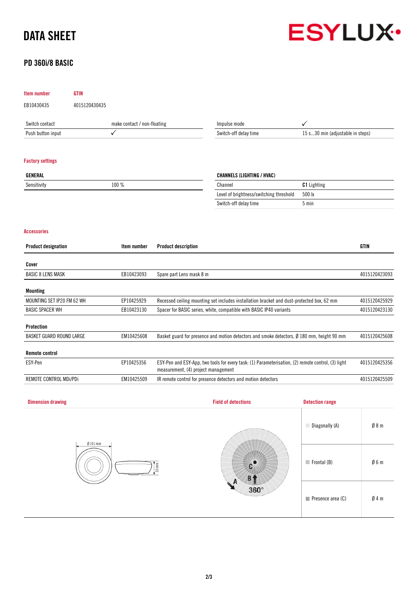# DATA SHEET

# **ESYLUX**

# PD 360i/8 BASIC

| Item number                | <b>GTIN</b>                 |              |                                                                                                                                                            |                                                                                            |                                  |                 |  |
|----------------------------|-----------------------------|--------------|------------------------------------------------------------------------------------------------------------------------------------------------------------|--------------------------------------------------------------------------------------------|----------------------------------|-----------------|--|
| EB10430435                 | 4015120430435               |              |                                                                                                                                                            |                                                                                            |                                  |                 |  |
| Switch contact             | make contact / non-floating |              |                                                                                                                                                            | Impulse mode                                                                               | ✓                                |                 |  |
| Push button input          |                             | $\checkmark$ |                                                                                                                                                            | Switch-off delay time                                                                      | 15 s30 min (adjustable in steps) |                 |  |
|                            |                             |              |                                                                                                                                                            |                                                                                            |                                  |                 |  |
| <b>Factory settings</b>    |                             |              |                                                                                                                                                            |                                                                                            |                                  |                 |  |
| GENERAL                    |                             |              |                                                                                                                                                            | <b>CHANNELS (LIGHTING / HVAC)</b>                                                          |                                  |                 |  |
| Sensitivity                |                             | 100 %        |                                                                                                                                                            | C1 Lighting<br>Channel                                                                     |                                  |                 |  |
|                            |                             |              |                                                                                                                                                            | Level of brightness/switching threshold                                                    | 500 lx                           |                 |  |
|                            |                             |              |                                                                                                                                                            | Switch-off delay time                                                                      | 5 min                            |                 |  |
| <b>Accessories</b>         |                             |              |                                                                                                                                                            |                                                                                            |                                  |                 |  |
| <b>Product designation</b> |                             | Item number  | <b>Product description</b>                                                                                                                                 |                                                                                            |                                  | <b>GTIN</b>     |  |
| Cover                      |                             |              |                                                                                                                                                            |                                                                                            |                                  |                 |  |
| <b>BASIC 8 LENS MASK</b>   |                             | EB10423093   | Spare part Lens mask 8 m                                                                                                                                   |                                                                                            |                                  | 4015120423093   |  |
|                            |                             |              |                                                                                                                                                            |                                                                                            |                                  |                 |  |
| <b>Mounting</b>            |                             |              |                                                                                                                                                            |                                                                                            |                                  |                 |  |
| MOUNTING SET IP20 FM 62 WH |                             | EP10425929   |                                                                                                                                                            | Recessed ceiling mounting set includes installation bracket and dust-protected box, 62 mm  |                                  | 4015120425929   |  |
| <b>BASIC SPACER WH</b>     |                             | EB10423130   |                                                                                                                                                            | Spacer for BASIC series, white, compatible with BASIC IP40 variants                        |                                  | 4015120423130   |  |
| Protection                 |                             |              |                                                                                                                                                            |                                                                                            |                                  |                 |  |
| BASKET GUARD ROUND LARGE   |                             | EM10425608   |                                                                                                                                                            | Basket guard for presence and motion detectors and smoke detectors, Ø 180 mm, height 90 mm |                                  | 4015120425608   |  |
| <b>Remote control</b>      |                             |              |                                                                                                                                                            |                                                                                            |                                  |                 |  |
| ESY-Pen                    |                             | EP10425356   | 4015120425356<br>ESY-Pen and ESY-App, two tools for every task: (1) Parameterisation, (2) remote control, (3) light<br>measurement, (4) project management |                                                                                            |                                  |                 |  |
| REMOTE CONTROL MDi/PDi     |                             | EM10425509   | IR remote control for presence detectors and motion detectors                                                                                              |                                                                                            |                                  | 4015120425509   |  |
|                            |                             |              |                                                                                                                                                            |                                                                                            |                                  |                 |  |
| <b>Dimension drawing</b>   |                             |              |                                                                                                                                                            | <b>Field of detections</b>                                                                 | <b>Detection range</b>           |                 |  |
|                            |                             |              |                                                                                                                                                            |                                                                                            |                                  |                 |  |
|                            |                             |              |                                                                                                                                                            |                                                                                            | Diagonally (A)                   | $\emptyset$ 8 m |  |
|                            | Ø101mm                      |              |                                                                                                                                                            |                                                                                            |                                  |                 |  |
|                            |                             |              |                                                                                                                                                            |                                                                                            | $\blacksquare$ Frontal (B)       | $\emptyset$ 6 m |  |
|                            |                             |              | $33$ mm                                                                                                                                                    |                                                                                            |                                  |                 |  |
|                            |                             |              |                                                                                                                                                            |                                                                                            |                                  |                 |  |
|                            |                             |              |                                                                                                                                                            | 360°                                                                                       |                                  |                 |  |
|                            |                             |              |                                                                                                                                                            |                                                                                            | $\blacksquare$ Presence area (C) | Ø4m             |  |
|                            |                             |              |                                                                                                                                                            |                                                                                            |                                  |                 |  |
|                            |                             |              |                                                                                                                                                            |                                                                                            |                                  |                 |  |